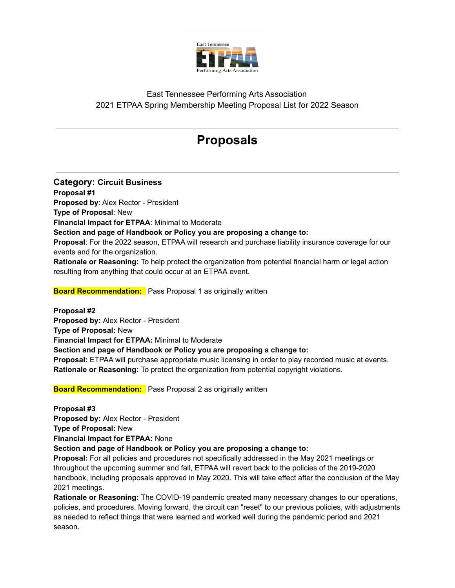

# **Proposals**

**Category: Circuit Business Proposal #1 Proposed by**: Alex Rector - President **Type of Proposal**: New **Financial Impact for ETPAA**: Minimal to Moderate **Section and page of Handbook or Policy you are proposing a change to: Proposal**: For the 2022 season, ETPAA will research and purchase liability insurance coverage for our events and for the organization. **Rationale or Reasoning:** To help protect the organization from potential financial harm or legal action resulting from anything that could occur at an ETPAA event.

**Board Recommendation:** Pass Proposal 1 as originally written

**Proposal #2 Proposed by:** Alex Rector - President **Type of Proposal:** New **Financial Impact for ETPAA:** Minimal to Moderate **Section and page of Handbook or Policy you are proposing a change to: Proposal:** ETPAA will purchase appropriate music licensing in order to play recorded music at events. **Rationale or Reasoning:** To protect the organization from potential copyright violations.

**Board Recommendation:** Pass Proposal 2 as originally written

**Section and page of Handbook or Policy you are proposing a change to:**

**Proposal #3**

**Type of Proposal:** New

**Proposed by:** Alex Rector - President

**Financial Impact for ETPAA:** None

handbook, including proposals approved in May 2020. This will take effect after the conclusion of the May 2021 meetings. **Rationale or Reasoning:** The COVID-19 pandemic created many necessary changes to our operations, policies, and procedures. Moving forward, the circuit can "reset" to our previous policies, with adjustments as needed to reflect things that were learned and worked well during the pandemic period and 2021 season.

**Proposal:** For all policies and procedures not specifically addressed in the May 2021 meetings or throughout the upcoming summer and fall, ETPAA will revert back to the policies of the 2019-2020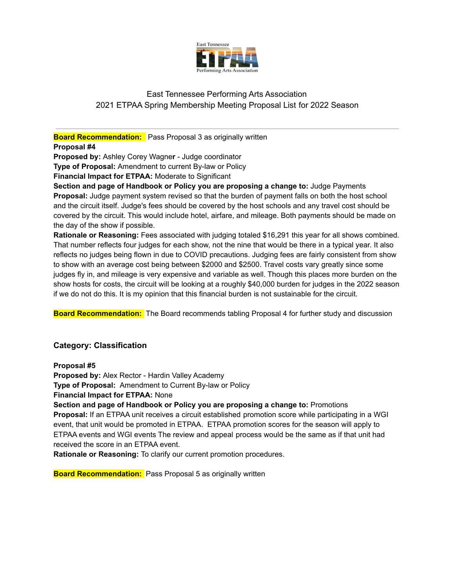

**Board Recommendation:** Pass Proposal 3 as originally written **Proposal #4**

**Proposed by:** Ashley Corey Wagne**r** - Judge coordinator **Type of Proposal:** Amendment to current By-law or Policy

**Financial Impact for ETPAA:** Moderate to Significant

**Section and page of Handbook or Policy you are proposing a change to:** Judge Payments **Proposal:** Judge payment system revised so that the burden of payment falls on both the host school and the circuit itself. Judge's fees should be covered by the host schools and any travel cost should be covered by the circuit. This would include hotel, airfare, and mileage. Both payments should be made on the day of the show if possible.

**Rationale or Reasoning:** Fees associated with judging totaled \$16,291 this year for all shows combined. That number reflects four judges for each show, not the nine that would be there in a typical year. It also reflects no judges being flown in due to COVID precautions. Judging fees are fairly consistent from show to show with an average cost being between \$2000 and \$2500. Travel costs vary greatly since some judges fly in, and mileage is very expensive and variable as well. Though this places more burden on the show hosts for costs, the circuit will be looking at a roughly \$40,000 burden for judges in the 2022 season if we do not do this. It is my opinion that this financial burden is not sustainable for the circuit.

**Board Recommendation:** The Board recommends tabling Proposal 4 for further study and discussion

#### **Category: Classification**

**Proposal #5**

**Proposed by:** Alex Rector - Hardin Valley Academy **Type of Proposal:** Amendment to Current By-law or Policy **Financial Impact for ETPAA:** None **Section and page of Handbook or Policy you are proposing a change to:** Promotions **Proposal:** If an ETPAA unit receives a circuit established promotion score while participating in a WGI event, that unit would be promoted in ETPAA. ETPAA promotion scores for the season will apply to ETPAA events and WGI events The review and appeal process would be the same as if that unit had received the score in an ETPAA event.

**Rationale or Reasoning:** To clarify our current promotion procedures.

**Board Recommendation:** Pass Proposal 5 as originally written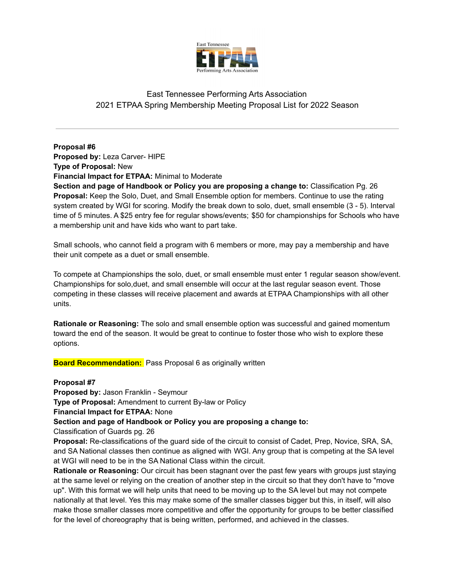

**Proposal #6 Proposed by:** Leza Carver- HIPE **Type of Proposal:** New **Financial Impact for ETPAA:** Minimal to Moderate **Section and page of Handbook or Policy you are proposing a change to:** Classification Pg. 26 **Proposal:** Keep the Solo, Duet, and Small Ensemble option for members. Continue to use the rating system created by WGI for scoring. Modify the break down to solo, duet, small ensemble (3 - 5). Interval time of 5 minutes. A \$25 entry fee for regular shows/events; \$50 for championships for Schools who have a membership unit and have kids who want to part take.

Small schools, who cannot field a program with 6 members or more, may pay a membership and have their unit compete as a duet or small ensemble.

To compete at Championships the solo, duet, or small ensemble must enter 1 regular season show/event. Championships for solo,duet, and small ensemble will occur at the last regular season event. Those competing in these classes will receive placement and awards at ETPAA Championships with all other units.

**Rationale or Reasoning:** The solo and small ensemble option was successful and gained momentum toward the end of the season. It would be great to continue to foster those who wish to explore these options.

**Board Recommendation:** Pass Proposal 6 as originally written

#### **Proposal #7**

**Proposed by:** Jason Franklin - Seymour **Type of Proposal:** Amendment to current By-law or Policy **Financial Impact for ETPAA:** None

**Section and page of Handbook or Policy you are proposing a change to:**

Classification of Guards pg. 26

**Proposal:** Re-classifications of the guard side of the circuit to consist of Cadet, Prep, Novice, SRA, SA, and SA National classes then continue as aligned with WGI. Any group that is competing at the SA level at WGI will need to be in the SA National Class within the circuit.

**Rationale or Reasoning:** Our circuit has been stagnant over the past few years with groups just staying at the same level or relying on the creation of another step in the circuit so that they don't have to "move up". With this format we will help units that need to be moving up to the SA level but may not compete nationally at that level. Yes this may make some of the smaller classes bigger but this, in itself, will also make those smaller classes more competitive and offer the opportunity for groups to be better classified for the level of choreography that is being written, performed, and achieved in the classes.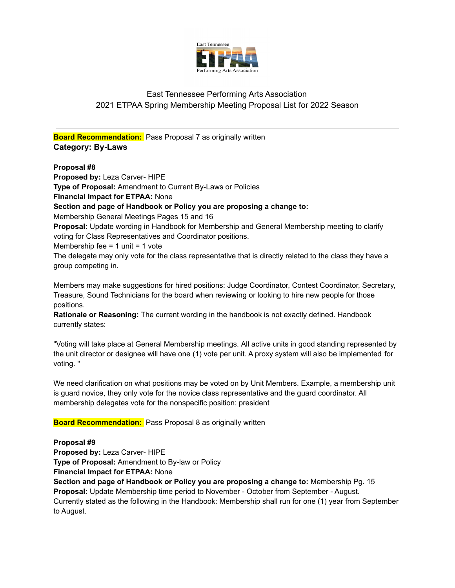

**Board Recommendation:** Pass Proposal 7 as originally written **Category: By-Laws**

**Proposal #8 Proposed by:** Leza Carver- HIPE **Type of Proposal:** Amendment to Current By-Laws or Policies **Financial Impact for ETPAA:** None **Section and page of Handbook or Policy you are proposing a change to:** Membership General Meetings Pages 15 and 16 **Proposal:** Update wording in Handbook for Membership and General Membership meeting to clarify voting for Class Representatives and Coordinator positions. Membership fee  $= 1$  unit  $= 1$  vote The delegate may only vote for the class representative that is directly related to the class they have a group competing in.

Members may make suggestions for hired positions: Judge Coordinator, Contest Coordinator, Secretary, Treasure, Sound Technicians for the board when reviewing or looking to hire new people for those positions.

**Rationale or Reasoning:** The current wording in the handbook is not exactly defined. Handbook currently states:

"Voting will take place at General Membership meetings. All active units in good standing represented by the unit director or designee will have one (1) vote per unit. A proxy system will also be implemented for voting. "

We need clarification on what positions may be voted on by Unit Members. Example, a membership unit is guard novice, they only vote for the novice class representative and the guard coordinator. All membership delegates vote for the nonspecific position: president

**Board Recommendation:** Pass Proposal 8 as originally written

**Proposal #9**

**Proposed by:** Leza Carver- HIPE **Type of Proposal:** Amendment to By-law or Policy **Financial Impact for ETPAA:** None

**Section and page of Handbook or Policy you are proposing a change to:** Membership Pg. 15 **Proposal:** Update Membership time period to November - October from September - August. Currently stated as the following in the Handbook: Membership shall run for one (1) year from September to August.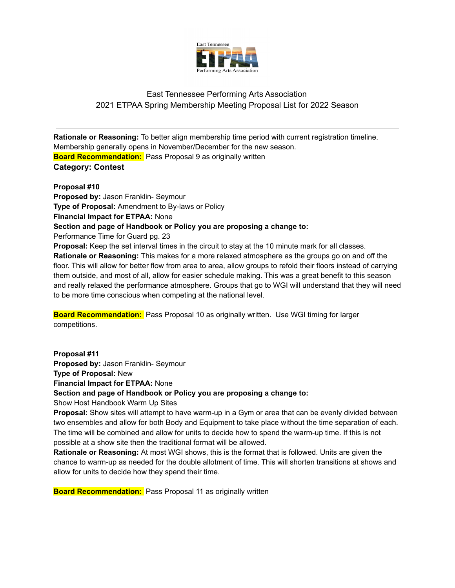

**Rationale or Reasoning:** To better align membership time period with current registration timeline. Membership generally opens in November/December for the new season. **Board Recommendation:** Pass Proposal 9 as originally written **Category: Contest**

#### **Proposal #10**

**Proposed by:** Jason Franklin- Seymour **Type of Proposal:** Amendment to By-laws or Policy **Financial Impact for ETPAA:** None **Section and page of Handbook or Policy you are proposing a change to:** Performance Time for Guard pg. 23 **Proposal:** Keep the set interval times in the circuit to stay at the 10 minute mark for all classes. **Rationale or Reasoning:** This makes for a more relaxed atmosphere as the groups go on and off the floor. This will allow for better flow from area to area, allow groups to refold their floors instead of carrying them outside, and most of all, allow for easier schedule making. This was a great benefit to this season and really relaxed the performance atmosphere. Groups that go to WGI will understand that they will need to be more time conscious when competing at the national level.

**Board Recommendation:** Pass Proposal 10 as originally written. Use WGI timing for larger competitions.

**Proposal #11 Proposed by:** Jason Franklin- Seymour **Type of Proposal:** New **Financial Impact for ETPAA:** None **Section and page of Handbook or Policy you are proposing a change to:** Show Host Handbook Warm Up Sites **Proposal:** Show sites will attempt to have warm-up in a Gym or area that can be evenly divided between two ensembles and allow for both Body and Equipment to take place without the time separation of each.

The time will be combined and allow for units to decide how to spend the warm-up time. If this is not possible at a show site then the traditional format will be allowed.

**Rationale or Reasoning:** At most WGI shows, this is the format that is followed. Units are given the chance to warm-up as needed for the double allotment of time. This will shorten transitions at shows and allow for units to decide how they spend their time.

**Board Recommendation:** Pass Proposal 11 as originally written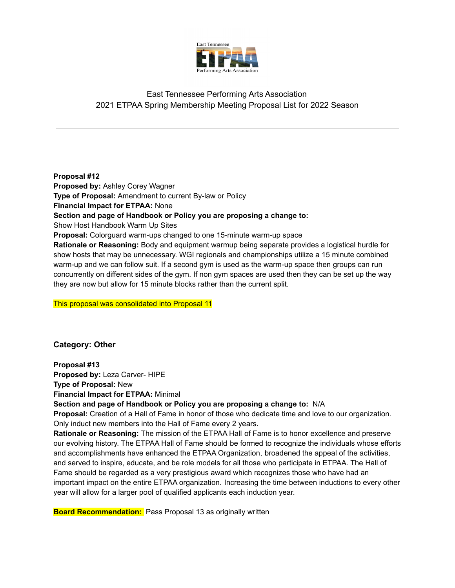

#### **Proposal #12**

**Proposed by:** Ashley Corey Wagner **Type of Proposal:** Amendment to current By-law or Policy **Financial Impact for ETPAA:** None **Section and page of Handbook or Policy you are proposing a change to:** Show Host Handbook Warm Up Sites **Proposal:** Colorguard warm-ups changed to one 15-minute warm-up space **Rationale or Reasoning:** Body and equipment warmup being separate provides a logistical hurdle for show hosts that may be unnecessary. WGI regionals and championships utilize a 15 minute combined warm-up and we can follow suit. If a second gym is used as the warm-up space then groups can run concurrently on different sides of the gym. If non gym spaces are used then they can be set up the way they are now but allow for 15 minute blocks rather than the current split.

This proposal was consolidated into Proposal 11

#### **Category: Other**

**Proposal #13 Proposed by:** Leza Carver- HIPE

**Type of Proposal:** New

**Financial Impact for ETPAA:** Minimal

**Section and page of Handbook or Policy you are proposing a change to:** N/A

**Proposal:** Creation of a Hall of Fame in honor of those who dedicate time and love to our organization. Only induct new members into the Hall of Fame every 2 years.

**Rationale or Reasoning:** The mission of the ETPAA Hall of Fame is to honor excellence and preserve our evolving history. The ETPAA Hall of Fame should be formed to recognize the individuals whose efforts and accomplishments have enhanced the ETPAA Organization, broadened the appeal of the activities, and served to inspire, educate, and be role models for all those who participate in ETPAA. The Hall of Fame should be regarded as a very prestigious award which recognizes those who have had an important impact on the entire ETPAA organization. Increasing the time between inductions to every other year will allow for a larger pool of qualified applicants each induction year.

**Board Recommendation:** Pass Proposal 13 as originally written